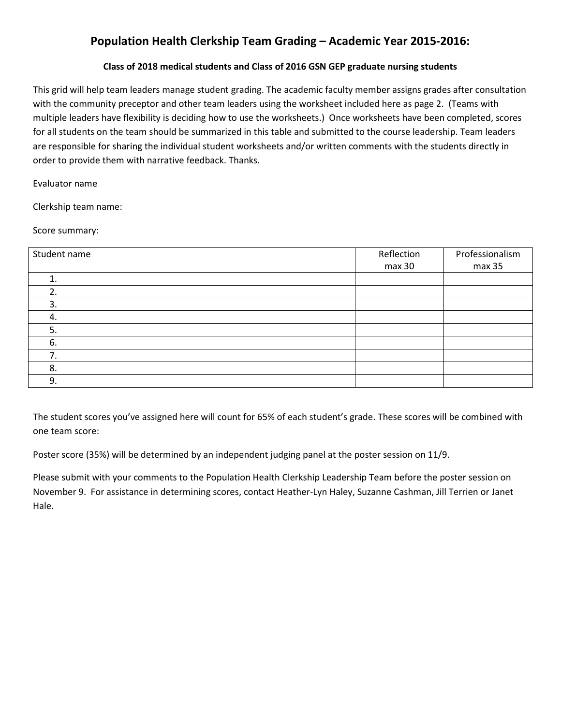#### **Population Health Clerkship Team Grading – Academic Year 2015-2016:**

#### **Class of 2018 medical students and Class of 2016 GSN GEP graduate nursing students**

This grid will help team leaders manage student grading. The academic faculty member assigns grades after consultation with the community preceptor and other team leaders using the worksheet included here as page 2. (Teams with multiple leaders have flexibility is deciding how to use the worksheets.) Once worksheets have been completed, scores for all students on the team should be summarized in this table and submitted to the course leadership. Team leaders are responsible for sharing the individual student worksheets and/or written comments with the students directly in order to provide them with narrative feedback. Thanks.

Evaluator name

Clerkship team name:

Score summary:

| Student name | Reflection | Professionalism |
|--------------|------------|-----------------|
|              | max 30     | max 35          |
|              |            |                 |
| 2.           |            |                 |
| 3.           |            |                 |
| 4.           |            |                 |
| 5.           |            |                 |
| 6.           |            |                 |
| 7            |            |                 |
| 8.           |            |                 |
| 9.           |            |                 |

The student scores you've assigned here will count for 65% of each student's grade. These scores will be combined with one team score:

Poster score (35%) will be determined by an independent judging panel at the poster session on 11/9.

Please submit with your comments to the Population Health Clerkship Leadership Team before the poster session on November 9. For assistance in determining scores, contact Heather-Lyn Haley, Suzanne Cashman, Jill Terrien or Janet Hale.